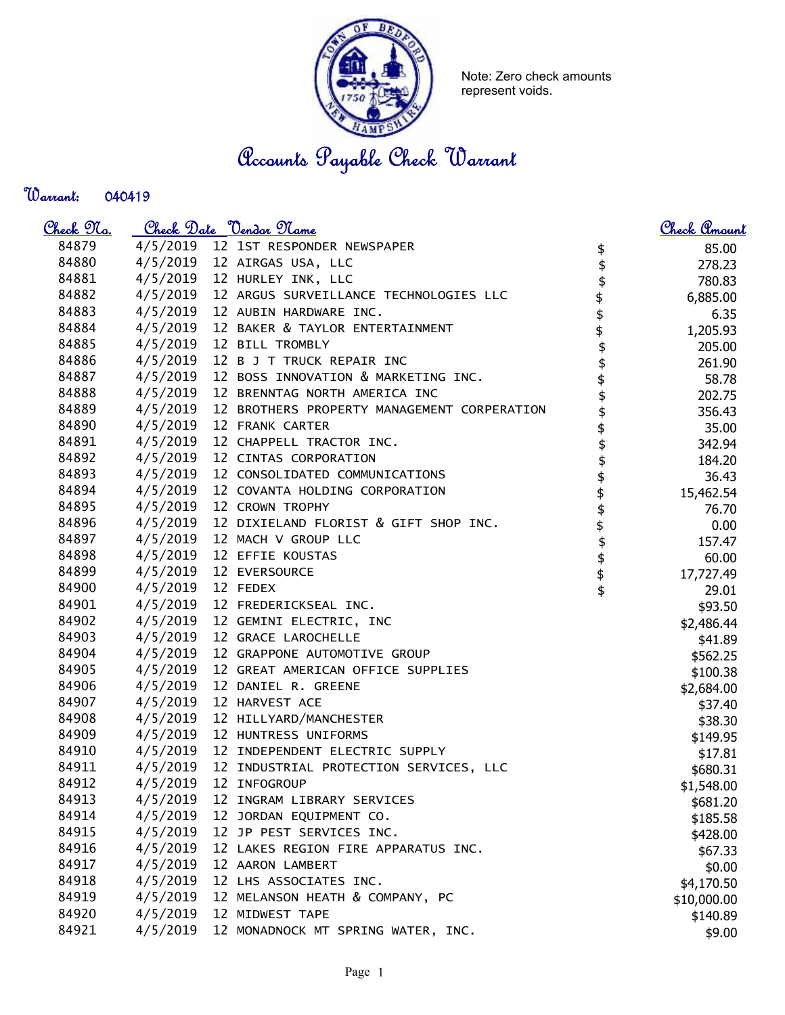

Note: Zero check amounts represent voids.

Accounts Payable Check Warrant

## Warrant:

| <u>Check 97a.</u> |          | <u>Check Date "Vendor Name</u>              |          | Check Amount |
|-------------------|----------|---------------------------------------------|----------|--------------|
| 84879             |          | 4/5/2019 12 1ST RESPONDER NEWSPAPER         | \$       | 85.00        |
| 84880             |          | 4/5/2019 12 AIRGAS USA, LLC                 |          | 278.23       |
| 84881             | 4/5/2019 | 12 HURLEY INK, LLC                          |          | 780.83       |
| 84882             | 4/5/2019 | 12 ARGUS SURVEILLANCE TECHNOLOGIES LLC      |          | 6,885.00     |
| 84883             | 4/5/2019 | 12 AUBIN HARDWARE INC.                      | \$\$     | 6.35         |
| 84884             | 4/5/2019 | 12 BAKER & TAYLOR ENTERTAINMENT             |          | 1,205.93     |
| 84885             | 4/5/2019 | 12 BILL TROMBLY                             | \$       | 205.00       |
| 84886             | 4/5/2019 | 12 B J T TRUCK REPAIR INC                   | \$       | 261.90       |
| 84887             | 4/5/2019 | 12 BOSS INNOVATION & MARKETING INC.         | \$       | 58.78        |
| 84888             | 4/5/2019 | 12 BRENNTAG NORTH AMERICA INC               |          | 202.75       |
| 84889             | 4/5/2019 | 12 BROTHERS PROPERTY MANAGEMENT CORPERATION |          | 356.43       |
| 84890             | 4/5/2019 | 12 FRANK CARTER                             |          | 35.00        |
| 84891             | 4/5/2019 | 12 CHAPPELL TRACTOR INC.                    |          | 342.94       |
| 84892             | 4/5/2019 | 12 CINTAS CORPORATION                       |          | 184.20       |
| 84893             | 4/5/2019 | 12 CONSOLIDATED COMMUNICATIONS              |          | 36.43        |
| 84894             | 4/5/2019 | 12 COVANTA HOLDING CORPORATION              | \$       | 15,462.54    |
| 84895             | 4/5/2019 | 12 CROWN TROPHY                             | \$       | 76.70        |
| 84896             | 4/5/2019 | 12 DIXIELAND FLORIST & GIFT SHOP INC.       | \$       | 0.00         |
| 84897             | 4/5/2019 | 12 MACH V GROUP LLC                         |          | 157.47       |
| 84898             | 4/5/2019 | 12 EFFIE KOUSTAS                            |          | 60.00        |
| 84899             | 4/5/2019 | 12 EVERSOURCE                               | \$<br>\$ | 17,727.49    |
| 84900             | 4/5/2019 | 12 FEDEX                                    | \$       | 29.01        |
| 84901             | 4/5/2019 | 12 FREDERICKSEAL INC.                       |          | \$93.50      |
| 84902             | 4/5/2019 | 12 GEMINI ELECTRIC, INC                     |          | \$2,486.44   |
| 84903             | 4/5/2019 | 12 GRACE LAROCHELLE                         |          | \$41.89      |
| 84904             | 4/5/2019 | 12 GRAPPONE AUTOMOTIVE GROUP                |          | \$562.25     |
| 84905             | 4/5/2019 | 12 GREAT AMERICAN OFFICE SUPPLIES           |          | \$100.38     |
| 84906             | 4/5/2019 | 12 DANIEL R. GREENE                         |          | \$2,684.00   |
| 84907             | 4/5/2019 | 12 HARVEST ACE                              |          | \$37.40      |
| 84908             | 4/5/2019 | 12 HILLYARD/MANCHESTER                      |          | \$38.30      |
| 84909             | 4/5/2019 | 12 HUNTRESS UNIFORMS                        |          | \$149.95     |
| 84910             | 4/5/2019 | 12 INDEPENDENT ELECTRIC SUPPLY              |          | \$17.81      |
| 84911             | 4/5/2019 | 12 INDUSTRIAL PROTECTION SERVICES, LLC      |          | \$680.31     |
| 84912             | 4/5/2019 | 12 INFOGROUP                                |          | \$1,548.00   |
| 84913             | 4/5/2019 | 12 INGRAM LIBRARY SERVICES                  |          | \$681.20     |
| 84914             | 4/5/2019 | 12 JORDAN EQUIPMENT CO.                     |          | \$185.58     |
| 84915             | 4/5/2019 | 12 JP PEST SERVICES INC.                    |          | \$428.00     |
| 84916             | 4/5/2019 | 12 LAKES REGION FIRE APPARATUS INC.         |          | \$67.33      |
| 84917             | 4/5/2019 | 12 AARON LAMBERT                            |          | \$0.00       |
| 84918             | 4/5/2019 | 12 LHS ASSOCIATES INC.                      |          | \$4,170.50   |
| 84919             | 4/5/2019 | 12 MELANSON HEATH & COMPANY, PC             |          | \$10,000.00  |
| 84920             | 4/5/2019 | 12 MIDWEST TAPE                             |          | \$140.89     |
| 84921             | 4/5/2019 | 12 MONADNOCK MT SPRING WATER, INC.          |          | \$9.00       |